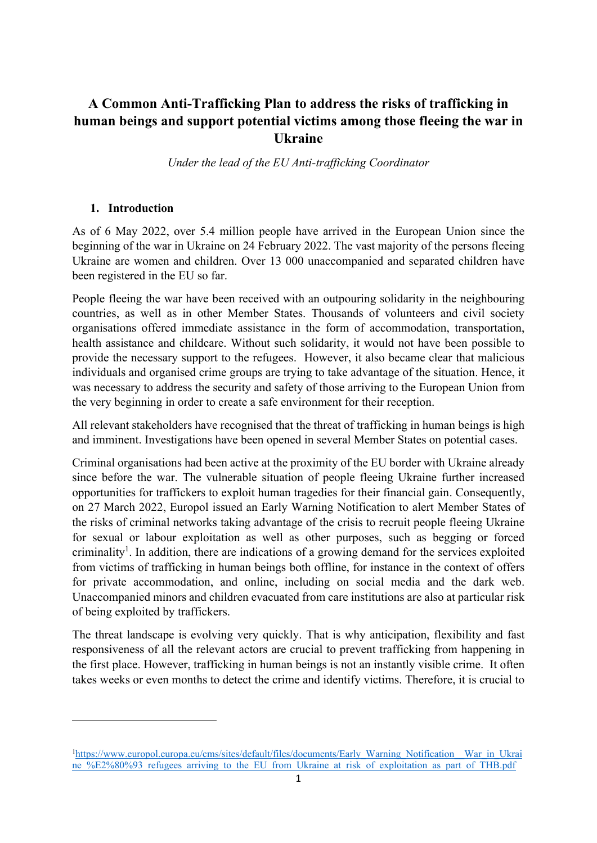# **A Common Anti-Trafficking Plan to address the risks of trafficking in human beings and support potential victims among those fleeing the war in Ukraine**

*Under the lead of the EU Anti-trafficking Coordinator*

# **1. Introduction**

As of 6 May 2022, over 5.4 million people have arrived in the European Union since the beginning of the war in Ukraine on 24 February 2022. The vast majority of the persons fleeing Ukraine are women and children. Over 13 000 unaccompanied and separated children have been registered in the EU so far.

People fleeing the war have been received with an outpouring solidarity in the neighbouring countries, as well as in other Member States. Thousands of volunteers and civil society organisations offered immediate assistance in the form of accommodation, transportation, health assistance and childcare. Without such solidarity, it would not have been possible to provide the necessary support to the refugees. However, it also became clear that malicious individuals and organised crime groups are trying to take advantage of the situation. Hence, it was necessary to address the security and safety of those arriving to the European Union from the very beginning in order to create a safe environment for their reception.

All relevant stakeholders have recognised that the threat of trafficking in human beings is high and imminent. Investigations have been opened in several Member States on potential cases.

Criminal organisations had been active at the proximity of the EU border with Ukraine already since before the war. The vulnerable situation of people fleeing Ukraine further increased opportunities for traffickers to exploit human tragedies for their financial gain. Consequently, on 27 March 2022, Europol issued an Early Warning Notification to alert Member States of the risks of criminal networks taking advantage of the crisis to recruit people fleeing Ukraine for sexual or labour exploitation as well as other purposes, such as begging or forced criminality<sup>1</sup>. In addition, there are indications of a growing demand for the services exploited from victims of trafficking in human beings both offline, for instance in the context of offers for private accommodation, and online, including on social media and the dark web. Unaccompanied minors and children evacuated from care institutions are also at particular risk of being exploited by traffickers.

The threat landscape is evolving very quickly. That is why anticipation, flexibility and fast responsiveness of all the relevant actors are crucial to prevent trafficking from happening in the first place. However, trafficking in human beings is not an instantly visible crime. It often takes weeks or even months to detect the crime and identify victims. Therefore, it is crucial to

<sup>&</sup>lt;sup>1</sup>https://www.europol.europa.eu/cms/sites/default/files/documents/Early\_Warning\_Notification\_War\_in\_Ukrai [ne\\_%E2%80%93\\_refugees\\_arriving\\_to\\_the\\_EU\\_from\\_Ukraine\\_at\\_risk\\_of\\_exploitation\\_as\\_part\\_of\\_THB.pdf](https://www.europol.europa.eu/cms/sites/default/files/documents/Early_Warning_Notification__War_in_Ukraine_%E2%80%93_refugees_arriving_to_the_EU_from_Ukraine_at_risk_of_exploitation_as_part_of_THB.pdf)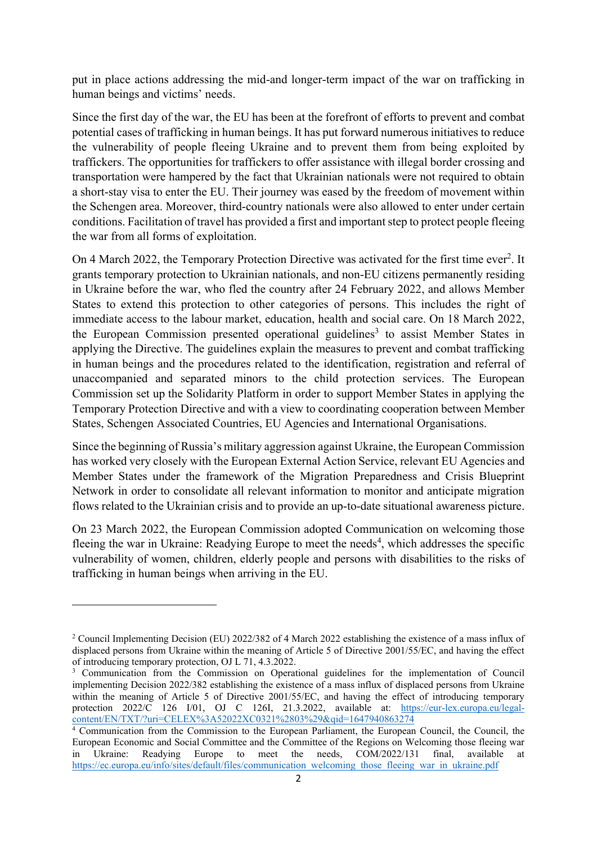put in place actions addressing the mid-and longer-term impact of the war on trafficking in human beings and victims' needs.

Since the first day of the war, the EU has been at the forefront of efforts to prevent and combat potential cases of trafficking in human beings. It has put forward numerous initiatives to reduce the vulnerability of people fleeing Ukraine and to prevent them from being exploited by traffickers. The opportunities for traffickers to offer assistance with illegal border crossing and transportation were hampered by the fact that Ukrainian nationals were not required to obtain a short-stay visa to enter the EU. Their journey was eased by the freedom of movement within the Schengen area. Moreover, third-country nationals were also allowed to enter under certain conditions. Facilitation of travel has provided a first and important step to protect people fleeing the war from all forms of exploitation.

On 4 March 2022, the Temporary Protection Directive was activated for the first time ever<sup>2</sup>. It grants temporary protection to Ukrainian nationals, and non-EU citizens permanently residing in Ukraine before the war, who fled the country after 24 February 2022, and allows Member States to extend this protection to other categories of persons. This includes the right of immediate access to the labour market, education, health and social care. On 18 March 2022, the European Commission presented operational guidelines<sup>3</sup> to assist Member States in applying the Directive. The guidelines explain the measures to prevent and combat trafficking in human beings and the procedures related to the identification, registration and referral of unaccompanied and separated minors to the child protection services. The European Commission set up the Solidarity Platform in order to support Member States in applying the Temporary Protection Directive and with a view to coordinating cooperation between Member States, Schengen Associated Countries, EU Agencies and International Organisations.

Since the beginning of Russia's military aggression against Ukraine, the European Commission has worked very closely with the European External Action Service, relevant EU Agencies and Member States under the framework of the Migration Preparedness and Crisis Blueprint Network in order to consolidate all relevant information to monitor and anticipate migration flows related to the Ukrainian crisis and to provide an up-to-date situational awareness picture.

On 23 March 2022, the European Commission adopted Communication on welcoming those fleeing the war in Ukraine: Readying Europe to meet the needs<sup>4</sup>, which addresses the specific vulnerability of women, children, elderly people and persons with disabilities to the risks of trafficking in human beings when arriving in the EU.

<sup>2</sup> Council Implementing Decision (EU) 2022/382 of 4 March 2022 establishing the existence of a mass influx of displaced persons from Ukraine within the meaning of Article 5 of Directive 2001/55/EC, and having the effect of introducing temporary protection, OJ L 71, 4.3.2022.

<sup>&</sup>lt;sup>3</sup> Communication from the Commission on Operational guidelines for the implementation of Council implementing Decision 2022/382 establishing the existence of a mass influx of displaced persons from Ukraine within the meaning of Article 5 of Directive 2001/55/EC, and having the effect of introducing temporary protection 2022/C 126 I/01, OJ C 126I, 21.3.2022, available at: [https://eur-lex.europa.eu/legal](https://eur-lex.europa.eu/legal-content/EN/TXT/?uri=CELEX%3A52022XC0321%2803%29&qid=1647940863274)[content/EN/TXT/?uri=CELEX%3A52022XC0321%2803%29&qid=1647940863274](https://eur-lex.europa.eu/legal-content/EN/TXT/?uri=CELEX%3A52022XC0321%2803%29&qid=1647940863274)

 $\frac{4}{4}$  Communication from the Commission to the European Parliament, the European Council, the Council, the European Economic and Social Committee and the Committee of the Regions on Welcoming those fleeing war in Ukraine: Readying Europe to meet the needs, COM/2022/131 final, available at [https://ec.europa.eu/info/sites/default/files/communication\\_welcoming\\_those\\_fleeing\\_war\\_in\\_ukraine.pdf](https://ec.europa.eu/info/sites/default/files/communication_welcoming_those_fleeing_war_in_ukraine.pdf)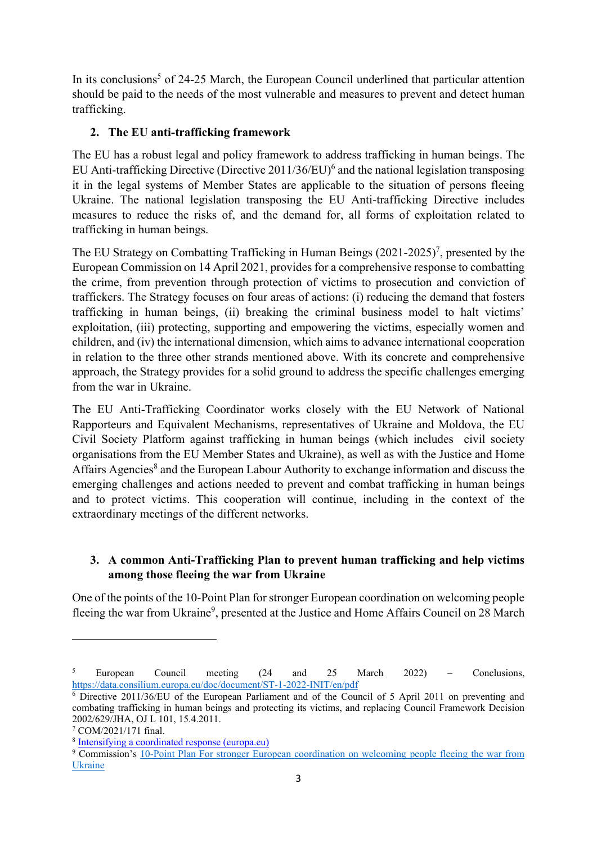In its conclusions<sup>5</sup> of 24-25 March, the European Council underlined that particular attention should be paid to the needs of the most vulnerable and measures to prevent and detect human trafficking.

# **2. The EU anti-trafficking framework**

The EU has a robust legal and policy framework to address trafficking in human beings. The EU Anti-trafficking Directive (Directive  $2011/36$ /EU)<sup>6</sup> and the national legislation transposing it in the legal systems of Member States are applicable to the situation of persons fleeing Ukraine. The national legislation transposing the EU Anti-trafficking Directive includes measures to reduce the risks of, and the demand for, all forms of exploitation related to trafficking in human beings.

The EU Strategy on Combatting Trafficking in Human Beings  $(2021-2025)^7$ , presented by the European Commission on 14 April 2021, provides for a comprehensive response to combatting the crime, from prevention through protection of victims to prosecution and conviction of traffickers. The Strategy focuses on four areas of actions: (i) reducing the demand that fosters trafficking in human beings, (ii) breaking the criminal business model to halt victims' exploitation, (iii) protecting, supporting and empowering the victims, especially women and children, and (iv) the international dimension, which aims to advance international cooperation in relation to the three other strands mentioned above. With its concrete and comprehensive approach, the Strategy provides for a solid ground to address the specific challenges emerging from the war in Ukraine.

The EU Anti-Trafficking Coordinator works closely with the EU Network of National Rapporteurs and Equivalent Mechanisms, representatives of Ukraine and Moldova, the EU Civil Society Platform against trafficking in human beings (which includes civil society organisations from the EU Member States and Ukraine), as well as with the Justice and Home Affairs Agencies<sup>8</sup> and the European Labour Authority to exchange information and discuss the emerging challenges and actions needed to prevent and combat trafficking in human beings and to protect victims. This cooperation will continue, including in the context of the extraordinary meetings of the different networks.

# **3. A common Anti-Trafficking Plan to prevent human trafficking and help victims among those fleeing the war from Ukraine**

One of the points of the 10-Point Plan for stronger European coordination on welcoming people fleeing the war from Ukraine<sup>9</sup>, presented at the Justice and Home Affairs Council on 28 March

<sup>5</sup> European Council meeting (24 and 25 March 2022) – Conclusions, <https://data.consilium.europa.eu/doc/document/ST-1-2022-INIT/en/pdf>

 $\overline{6}$  Directive 2011/36/EU of the European Parliament and of the Council of 5 April 2011 on preventing and combating trafficking in human beings and protecting its victims, and replacing Council Framework Decision 2002/629/JHA, OJ L 101, 15.4.2011.

<sup>7</sup> COM/2021/171 final.

<sup>8</sup> [Intensifying a coordinated response \(europa.eu\)](https://ec.europa.eu/home-affairs/policies/internal-security/organised-crime-and-human-trafficking/together-against-trafficking-human-beings/intensifying-coordinated-response_en#coordination-network-of-the-eu-agencies-contact-points)

<sup>9</sup> Commission's [10-Point Plan For stronger European coordination on welcoming people fleeing the war from](https://ec.europa.eu/home-affairs/10-point-plan-stronger-european-coordination-welcoming-people-fleeing-war-ukraine_en)  [Ukraine](https://ec.europa.eu/home-affairs/10-point-plan-stronger-european-coordination-welcoming-people-fleeing-war-ukraine_en)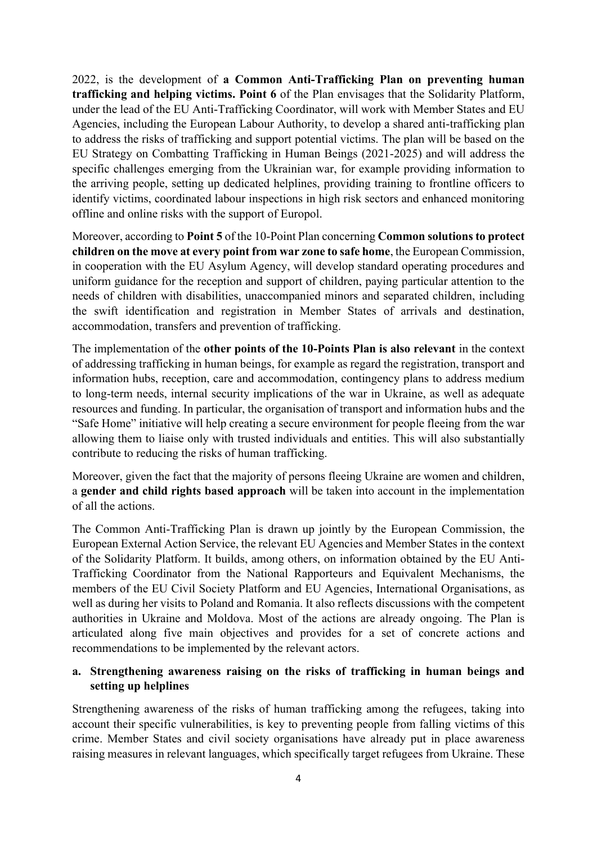2022, is the development of **a Common Anti-Trafficking Plan on preventing human trafficking and helping victims. Point 6** of the Plan envisages that the Solidarity Platform, under the lead of the EU Anti-Trafficking Coordinator, will work with Member States and EU Agencies, including the European Labour Authority, to develop a shared anti-trafficking plan to address the risks of trafficking and support potential victims. The plan will be based on the EU Strategy on Combatting Trafficking in Human Beings (2021-2025) and will address the specific challenges emerging from the Ukrainian war, for example providing information to the arriving people, setting up dedicated helplines, providing training to frontline officers to identify victims, coordinated labour inspections in high risk sectors and enhanced monitoring offline and online risks with the support of Europol.

Moreover, according to **Point 5** of the 10-Point Plan concerning **Common solutions to protect children on the move at every point from war zone to safe home**, the European Commission, in cooperation with the EU Asylum Agency, will develop standard operating procedures and uniform guidance for the reception and support of children, paying particular attention to the needs of children with disabilities, unaccompanied minors and separated children, including the swift identification and registration in Member States of arrivals and destination, accommodation, transfers and prevention of trafficking.

The implementation of the **other points of the 10-Points Plan is also relevant** in the context of addressing trafficking in human beings, for example as regard the registration, transport and information hubs, reception, care and accommodation, contingency plans to address medium to long-term needs, internal security implications of the war in Ukraine, as well as adequate resources and funding. In particular, the organisation of transport and information hubs and the "Safe Home" initiative will help creating a secure environment for people fleeing from the war allowing them to liaise only with trusted individuals and entities. This will also substantially contribute to reducing the risks of human trafficking.

Moreover, given the fact that the majority of persons fleeing Ukraine are women and children, a **gender and child rights based approach** will be taken into account in the implementation of all the actions.

The Common Anti-Trafficking Plan is drawn up jointly by the European Commission, the European External Action Service, the relevant EU Agencies and Member States in the context of the Solidarity Platform. It builds, among others, on information obtained by the EU Anti-Trafficking Coordinator from the National Rapporteurs and Equivalent Mechanisms, the members of the EU Civil Society Platform and EU Agencies, International Organisations, as well as during her visits to Poland and Romania. It also reflects discussions with the competent authorities in Ukraine and Moldova. Most of the actions are already ongoing. The Plan is articulated along five main objectives and provides for a set of concrete actions and recommendations to be implemented by the relevant actors.

# **a. Strengthening awareness raising on the risks of trafficking in human beings and setting up helplines**

Strengthening awareness of the risks of human trafficking among the refugees, taking into account their specific vulnerabilities, is key to preventing people from falling victims of this crime. Member States and civil society organisations have already put in place awareness raising measures in relevant languages, which specifically target refugees from Ukraine. These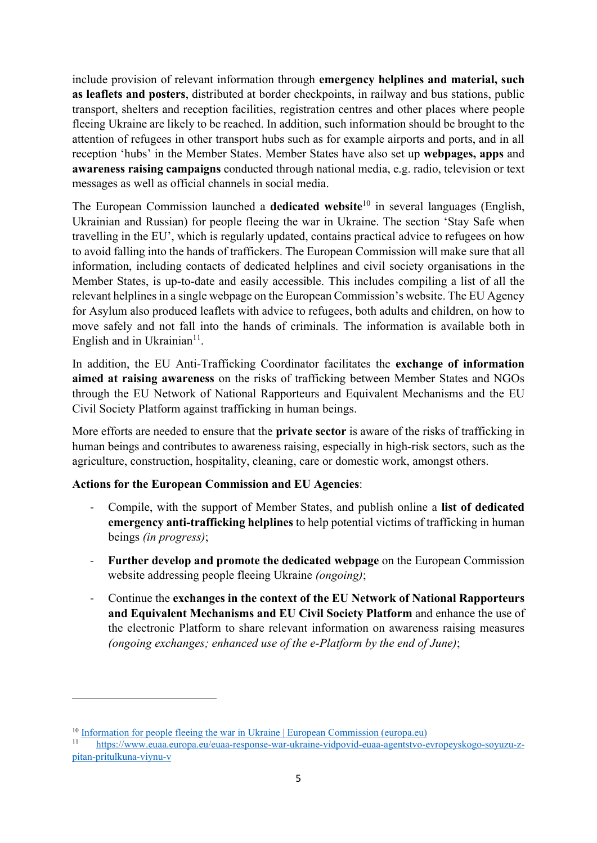include provision of relevant information through **emergency helplines and material, such as leaflets and posters**, distributed at border checkpoints, in railway and bus stations, public transport, shelters and reception facilities, registration centres and other places where people fleeing Ukraine are likely to be reached. In addition, such information should be brought to the attention of refugees in other transport hubs such as for example airports and ports, and in all reception 'hubs' in the Member States. Member States have also set up **webpages, apps** and **awareness raising campaigns** conducted through national media, e.g. radio, television or text messages as well as official channels in social media.

The European Commission launched a **dedicated website**<sup>10</sup> in several languages (English, Ukrainian and Russian) for people fleeing the war in Ukraine. The section 'Stay Safe when travelling in the EU', which is regularly updated, contains practical advice to refugees on how to avoid falling into the hands of traffickers. The European Commission will make sure that all information, including contacts of dedicated helplines and civil society organisations in the Member States, is up-to-date and easily accessible. This includes compiling a list of all the relevant helplines in a single webpage on the European Commission's website. The EU Agency for Asylum also produced leaflets with advice to refugees, both adults and children, on how to move safely and not fall into the hands of criminals. The information is available both in English and in Ukrainian<sup>11</sup>.

In addition, the EU Anti-Trafficking Coordinator facilitates the **exchange of information aimed at raising awareness** on the risks of trafficking between Member States and NGOs through the EU Network of National Rapporteurs and Equivalent Mechanisms and the EU Civil Society Platform against trafficking in human beings.

More efforts are needed to ensure that the **private sector** is aware of the risks of trafficking in human beings and contributes to awareness raising, especially in high-risk sectors, such as the agriculture, construction, hospitality, cleaning, care or domestic work, amongst others.

# **Actions for the European Commission and EU Agencies**:

- Compile, with the support of Member States, and publish online a **list of dedicated emergency anti-trafficking helplines** to help potential victims of trafficking in human beings *(in progress)*;
- Further develop and promote the dedicated webpage on the European Commission website addressing people fleeing Ukraine *(ongoing)*;
- Continue the **exchanges in the context of the EU Network of National Rapporteurs and Equivalent Mechanisms and EU Civil Society Platform** and enhance the use of the electronic Platform to share relevant information on awareness raising measures *(ongoing exchanges; enhanced use of the e-Platform by the end of June)*;

 $\frac{10}{10}$  Information for people fleeing the war [in Ukraine | European Commission \(europa.eu\)](https://ec.europa.eu/info/strategy/priorities-2019-2024/stronger-europe-world/eu-solidarity-ukraine/eu-assistance-ukraine/information-people-fleeing-war-ukraine_en)

<sup>11</sup> [https://www.euaa.europa.eu/euaa-response-war-ukraine-vidpovid-euaa-agentstvo-evropeyskogo-soyuzu-z](https://www.euaa.europa.eu/euaa-response-war-ukraine-vidpovid-euaa-agentstvo-evropeyskogo-soyuzu-z-pitan-pritulkuna-viynu-v)[pitan-pritulkuna-viynu-v](https://www.euaa.europa.eu/euaa-response-war-ukraine-vidpovid-euaa-agentstvo-evropeyskogo-soyuzu-z-pitan-pritulkuna-viynu-v)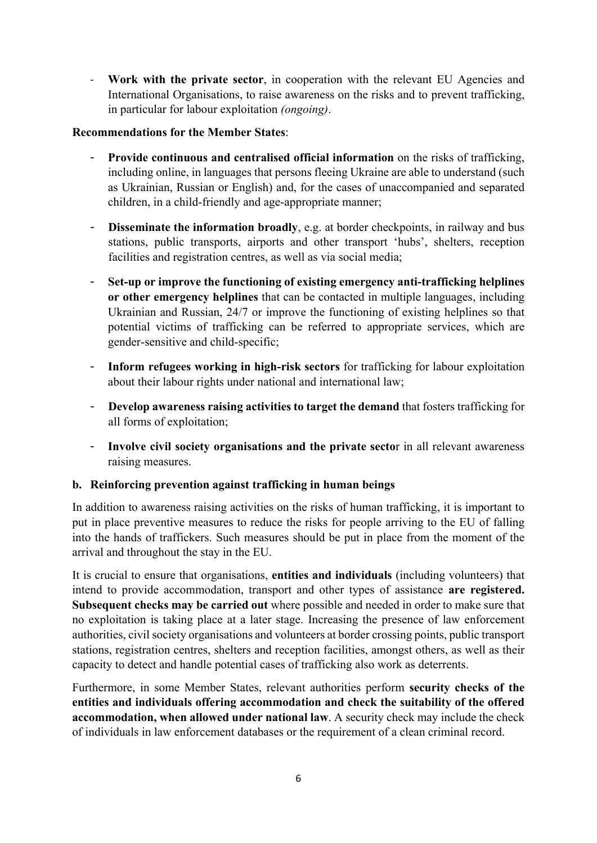- **Work with the private sector**, in cooperation with the relevant EU Agencies and International Organisations, to raise awareness on the risks and to prevent trafficking, in particular for labour exploitation *(ongoing)*.

### **Recommendations for the Member States**:

- **Provide continuous and centralised official information** on the risks of trafficking, including online, in languages that persons fleeing Ukraine are able to understand (such as Ukrainian, Russian or English) and, for the cases of unaccompanied and separated children, in a child-friendly and age-appropriate manner;
- **Disseminate the information broadly**, e.g. at border checkpoints, in railway and bus stations, public transports, airports and other transport 'hubs', shelters, reception facilities and registration centres, as well as via social media;
- **Set-up or improve the functioning of existing emergency anti-trafficking helplines or other emergency helplines** that can be contacted in multiple languages, including Ukrainian and Russian, 24/7 or improve the functioning of existing helplines so that potential victims of trafficking can be referred to appropriate services, which are gender-sensitive and child-specific;
- **Inform refugees working in high-risk sectors** for trafficking for labour exploitation about their labour rights under national and international law;
- **Develop awareness raising activities to target the demand** that fosters trafficking for all forms of exploitation;
- **Involve civil society organisations and the private secto**r in all relevant awareness raising measures.

# **b. Reinforcing prevention against trafficking in human beings**

In addition to awareness raising activities on the risks of human trafficking, it is important to put in place preventive measures to reduce the risks for people arriving to the EU of falling into the hands of traffickers. Such measures should be put in place from the moment of the arrival and throughout the stay in the EU.

It is crucial to ensure that organisations, **entities and individuals** (including volunteers) that intend to provide accommodation, transport and other types of assistance **are registered. Subsequent checks may be carried out** where possible and needed in order to make sure that no exploitation is taking place at a later stage. Increasing the presence of law enforcement authorities, civil society organisations and volunteers at border crossing points, public transport stations, registration centres, shelters and reception facilities, amongst others, as well as their capacity to detect and handle potential cases of trafficking also work as deterrents.

Furthermore, in some Member States, relevant authorities perform **security checks of the entities and individuals offering accommodation and check the suitability of the offered accommodation, when allowed under national law**. A security check may include the check of individuals in law enforcement databases or the requirement of a clean criminal record.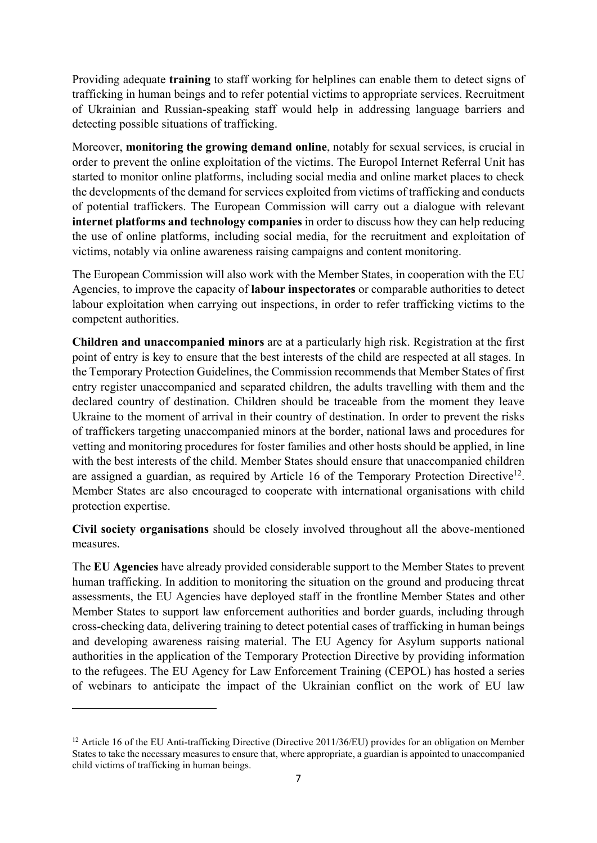Providing adequate **training** to staff working for helplines can enable them to detect signs of trafficking in human beings and to refer potential victims to appropriate services. Recruitment of Ukrainian and Russian-speaking staff would help in addressing language barriers and detecting possible situations of trafficking.

Moreover, **monitoring the growing demand online**, notably for sexual services, is crucial in order to prevent the online exploitation of the victims. The Europol Internet Referral Unit has started to monitor online platforms, including social media and online market places to check the developments of the demand for services exploited from victims of trafficking and conducts of potential traffickers. The European Commission will carry out a dialogue with relevant **internet platforms and technology companies** in order to discuss how they can help reducing the use of online platforms, including social media, for the recruitment and exploitation of victims, notably via online awareness raising campaigns and content monitoring.

The European Commission will also work with the Member States, in cooperation with the EU Agencies, to improve the capacity of **labour inspectorates** or comparable authorities to detect labour exploitation when carrying out inspections, in order to refer trafficking victims to the competent authorities.

**Children and unaccompanied minors** are at a particularly high risk. Registration at the first point of entry is key to ensure that the best interests of the child are respected at all stages. In the Temporary Protection Guidelines, the Commission recommends that Member States of first entry register unaccompanied and separated children, the adults travelling with them and the declared country of destination. Children should be traceable from the moment they leave Ukraine to the moment of arrival in their country of destination. In order to prevent the risks of traffickers targeting unaccompanied minors at the border, national laws and procedures for vetting and monitoring procedures for foster families and other hosts should be applied, in line with the best interests of the child. Member States should ensure that unaccompanied children are assigned a guardian, as required by Article 16 of the Temporary Protection Directive<sup>12</sup>. Member States are also encouraged to cooperate with international organisations with child protection expertise.

**Civil society organisations** should be closely involved throughout all the above-mentioned measures.

The **EU Agencies** have already provided considerable support to the Member States to prevent human trafficking. In addition to monitoring the situation on the ground and producing threat assessments, the EU Agencies have deployed staff in the frontline Member States and other Member States to support law enforcement authorities and border guards, including through cross-checking data, delivering training to detect potential cases of trafficking in human beings and developing awareness raising material. The EU Agency for Asylum supports national authorities in the application of the Temporary Protection Directive by providing information to the refugees. The EU Agency for Law Enforcement Training (CEPOL) has hosted a series of webinars to anticipate the impact of the Ukrainian conflict on the work of EU law

<sup>&</sup>lt;sup>12</sup> Article 16 of the EU Anti-trafficking Directive (Directive 2011/36/EU) provides for an obligation on Member States to take the necessary measures to ensure that, where appropriate, a guardian is appointed to unaccompanied child victims of trafficking in human beings.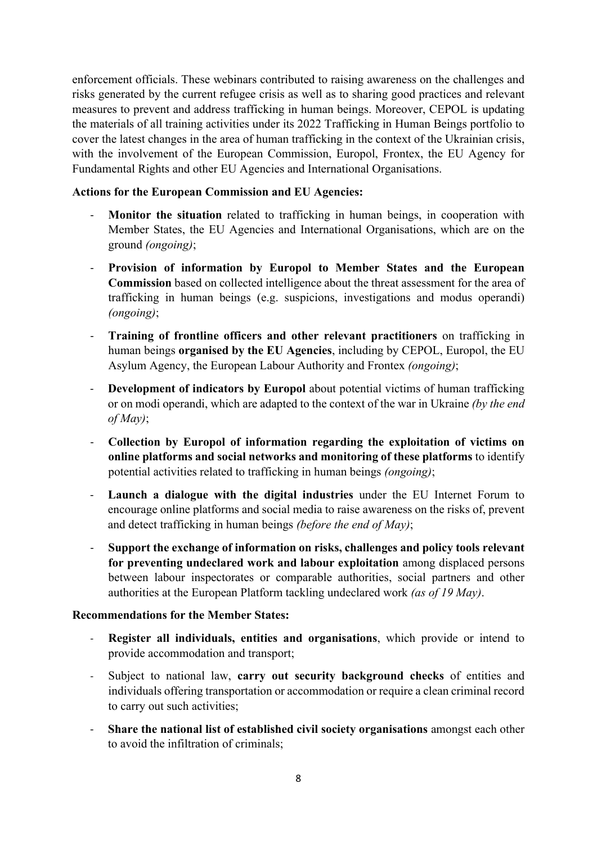enforcement officials. These webinars contributed to raising awareness on the challenges and risks generated by the current refugee crisis as well as to sharing good practices and relevant measures to prevent and address trafficking in human beings. Moreover, CEPOL is updating the materials of all training activities under its 2022 Trafficking in Human Beings portfolio to cover the latest changes in the area of human trafficking in the context of the Ukrainian crisis, with the involvement of the European Commission, Europol, Frontex, the EU Agency for Fundamental Rights and other EU Agencies and International Organisations.

### **Actions for the European Commission and EU Agencies:**

- **Monitor the situation** related to trafficking in human beings, in cooperation with Member States, the EU Agencies and International Organisations, which are on the ground *(ongoing)*;
- **Provision of information by Europol to Member States and the European Commission** based on collected intelligence about the threat assessment for the area of trafficking in human beings (e.g. suspicions, investigations and modus operandi) *(ongoing)*;
- **Training of frontline officers and other relevant practitioners** on trafficking in human beings **organised by the EU Agencies**, including by CEPOL, Europol, the EU Asylum Agency, the European Labour Authority and Frontex *(ongoing)*;
- **Development of indicators by Europol** about potential victims of human trafficking or on modi operandi, which are adapted to the context of the war in Ukraine *(by the end of May)*;
- **Collection by Europol of information regarding the exploitation of victims on online platforms and social networks and monitoring of these platforms** to identify potential activities related to trafficking in human beings *(ongoing)*;
- **Launch a dialogue with the digital industries** under the EU Internet Forum to encourage online platforms and social media to raise awareness on the risks of, prevent and detect trafficking in human beings *(before the end of May)*;
- **Support the exchange of information on risks, challenges and policy tools relevant for preventing undeclared work and labour exploitation** among displaced persons between labour inspectorates or comparable authorities, social partners and other authorities at the European Platform tackling undeclared work *(as of 19 May)*.

#### **Recommendations for the Member States:**

- **Register all individuals, entities and organisations**, which provide or intend to provide accommodation and transport;
- Subject to national law, **carry out security background checks** of entities and individuals offering transportation or accommodation or require a clean criminal record to carry out such activities;
- **Share the national list of established civil society organisations** amongst each other to avoid the infiltration of criminals;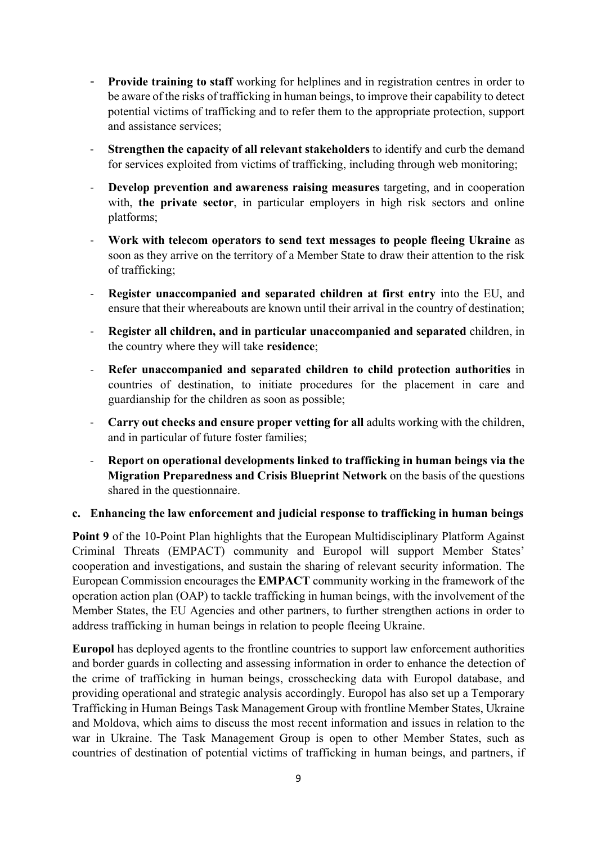- **Provide training to staff** working for helplines and in registration centres in order to be aware of the risks of trafficking in human beings, to improve their capability to detect potential victims of trafficking and to refer them to the appropriate protection, support and assistance services;
- **Strengthen the capacity of all relevant stakeholders** to identify and curb the demand for services exploited from victims of trafficking, including through web monitoring;
- **Develop prevention and awareness raising measures** targeting, and in cooperation with, **the private sector**, in particular employers in high risk sectors and online platforms;
- **Work with telecom operators to send text messages to people fleeing Ukraine** as soon as they arrive on the territory of a Member State to draw their attention to the risk of trafficking;
- **Register unaccompanied and separated children at first entry** into the EU, and ensure that their whereabouts are known until their arrival in the country of destination;
- **Register all children, and in particular unaccompanied and separated** children, in the country where they will take **residence**;
- **Refer unaccompanied and separated children to child protection authorities** in countries of destination, to initiate procedures for the placement in care and guardianship for the children as soon as possible;
- **Carry out checks and ensure proper vetting for all** adults working with the children, and in particular of future foster families;
- **Report on operational developments linked to trafficking in human beings via the Migration Preparedness and Crisis Blueprint Network** on the basis of the questions shared in the questionnaire.

#### **c. Enhancing the law enforcement and judicial response to trafficking in human beings**

**Point 9** of the 10-Point Plan highlights that the European Multidisciplinary Platform Against Criminal Threats (EMPACT) community and Europol will support Member States' cooperation and investigations, and sustain the sharing of relevant security information. The European Commission encourages the **EMPACT** community working in the framework of the operation action plan (OAP) to tackle trafficking in human beings, with the involvement of the Member States, the EU Agencies and other partners, to further strengthen actions in order to address trafficking in human beings in relation to people fleeing Ukraine.

**Europol** has deployed agents to the frontline countries to support law enforcement authorities and border guards in collecting and assessing information in order to enhance the detection of the crime of trafficking in human beings, crosschecking data with Europol database, and providing operational and strategic analysis accordingly. Europol has also set up a Temporary Trafficking in Human Beings Task Management Group with frontline Member States, Ukraine and Moldova, which aims to discuss the most recent information and issues in relation to the war in Ukraine. The Task Management Group is open to other Member States, such as countries of destination of potential victims of trafficking in human beings, and partners, if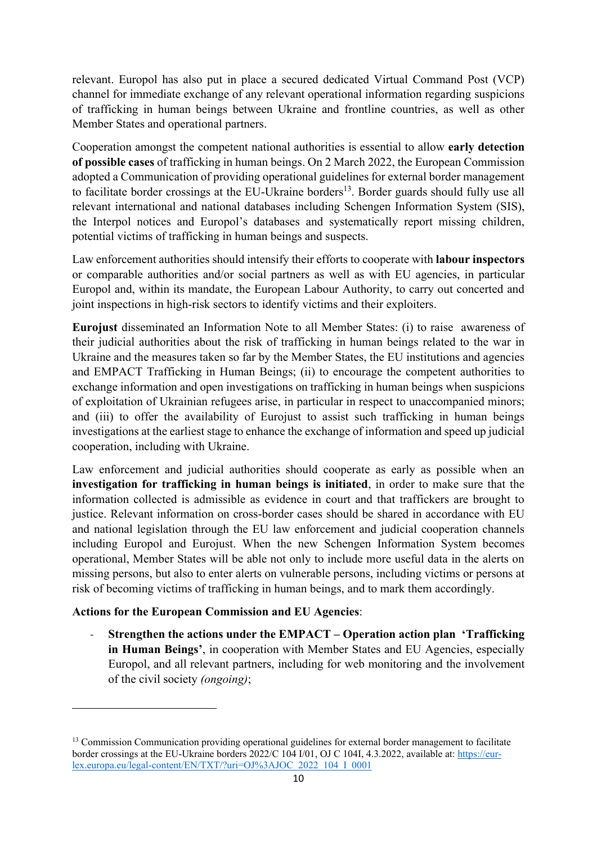relevant. Europol has also put in place a secured dedicated Virtual Command Post (VCP) channel for immediate exchange of any relevant operational information regarding suspicions of trafficking in human beings between Ukraine and frontline countries, as well as other Member States and operational partners.

Cooperation amongst the competent national authorities is essential to allow **early detection of possible cases** of trafficking in human beings. On 2 March 2022, the European Commission adopted a Communication of providing operational guidelines for external border management to facilitate border crossings at the EU-Ukraine borders $<sup>13</sup>$ . Border guards should fully use all</sup> relevant international and national databases including Schengen Information System (SIS), the Interpol notices and Europol's databases and systematically report missing children, potential victims of trafficking in human beings and suspects.

Law enforcement authorities should intensify their efforts to cooperate with **labour inspectors** or comparable authorities and/or social partners as well as with EU agencies, in particular Europol and, within its mandate, the European Labour Authority, to carry out concerted and joint inspections in high-risk sectors to identify victims and their exploiters.

**Eurojust** disseminated an Information Note to all Member States: (i) to raise awareness of their judicial authorities about the risk of trafficking in human beings related to the war in Ukraine and the measures taken so far by the Member States, the EU institutions and agencies and EMPACT Trafficking in Human Beings; (ii) to encourage the competent authorities to exchange information and open investigations on trafficking in human beings when suspicions of exploitation of Ukrainian refugees arise, in particular in respect to unaccompanied minors; and (iii) to offer the availability of Eurojust to assist such trafficking in human beings investigations at the earliest stage to enhance the exchange of information and speed up judicial cooperation, including with Ukraine.

Law enforcement and judicial authorities should cooperate as early as possible when an **investigation for trafficking in human beings is initiated**, in order to make sure that the information collected is admissible as evidence in court and that traffickers are brought to justice. Relevant information on cross-border cases should be shared in accordance with EU and national legislation through the EU law enforcement and judicial cooperation channels including Europol and Eurojust. When the new Schengen Information System becomes operational, Member States will be able not only to include more useful data in the alerts on missing persons, but also to enter alerts on vulnerable persons, including victims or persons at risk of becoming victims of trafficking in human beings, and to mark them accordingly.

# **Actions for the European Commission and EU Agencies**:

- **Strengthen the actions under the EMPACT – Operation action plan 'Trafficking in Human Beings'**, in cooperation with Member States and EU Agencies, especially Europol, and all relevant partners, including for web monitoring and the involvement of the civil society *(ongoing)*;

<sup>&</sup>lt;sup>13</sup> Commission Communication providing operational guidelines for external border management to facilitate border crossings at the EU-Ukraine borders 2022/C 104 I/01, OJ C 104I, 4.3.2022, available at: [https://eur](https://eur-lex.europa.eu/legal-content/EN/TXT/?uri=OJ%3AJOC_2022_104_I_0001)[lex.europa.eu/legal-content/EN/TXT/?uri=OJ%3AJOC\\_2022\\_104\\_I\\_0001](https://eur-lex.europa.eu/legal-content/EN/TXT/?uri=OJ%3AJOC_2022_104_I_0001)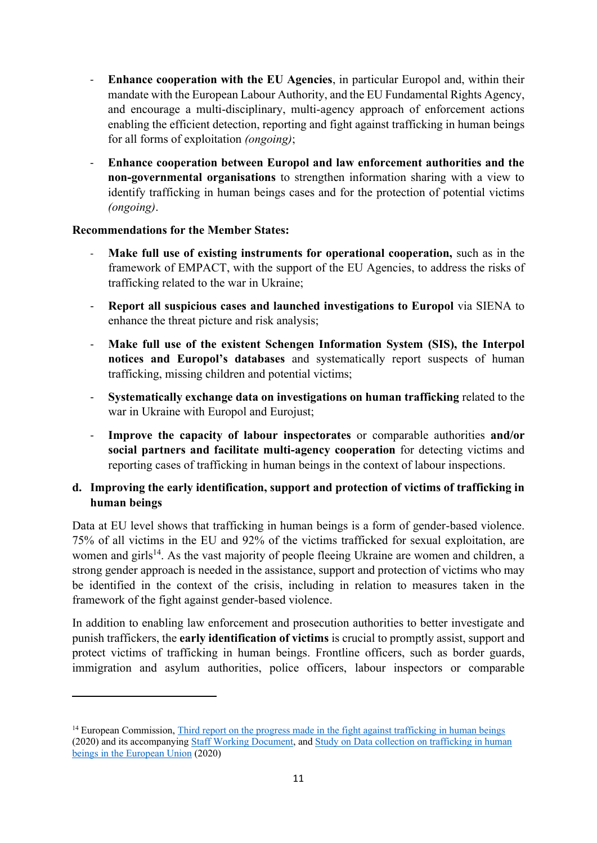- **Enhance cooperation with the EU Agencies**, in particular Europol and, within their mandate with the European Labour Authority, and the EU Fundamental Rights Agency, and encourage a multi-disciplinary, multi-agency approach of enforcement actions enabling the efficient detection, reporting and fight against trafficking in human beings for all forms of exploitation *(ongoing)*;
- **Enhance cooperation between Europol and law enforcement authorities and the non-governmental organisations** to strengthen information sharing with a view to identify trafficking in human beings cases and for the protection of potential victims *(ongoing)*.

# **Recommendations for the Member States:**

- **Make full use of existing instruments for operational cooperation,** such as in the framework of EMPACT, with the support of the EU Agencies, to address the risks of trafficking related to the war in Ukraine;
- **Report all suspicious cases and launched investigations to Europol** via SIENA to enhance the threat picture and risk analysis;
- **Make full use of the existent Schengen Information System (SIS), the Interpol notices and Europol's databases** and systematically report suspects of human trafficking, missing children and potential victims;
- **Systematically exchange data on investigations on human trafficking** related to the war in Ukraine with Europol and Eurojust;
- **Improve the capacity of labour inspectorates** or comparable authorities **and/or social partners and facilitate multi-agency cooperation** for detecting victims and reporting cases of trafficking in human beings in the context of labour inspections.

# **d. Improving the early identification, support and protection of victims of trafficking in human beings**

Data at EU level shows that trafficking in human beings is a form of gender-based violence. 75% of all victims in the EU and 92% of the victims trafficked for sexual exploitation, are women and girls<sup>14</sup>. As the vast majority of people fleeing Ukraine are women and children, a strong gender approach is needed in the assistance, support and protection of victims who may be identified in the context of the crisis, including in relation to measures taken in the framework of the fight against gender-based violence.

In addition to enabling law enforcement and prosecution authorities to better investigate and punish traffickers, the **early identification of victims** is crucial to promptly assist, support and protect victims of trafficking in human beings. Frontline officers, such as border guards, immigration and asylum authorities, police officers, labour inspectors or comparable

<sup>&</sup>lt;sup>14</sup> European Commission, [Third report on the progress made in the fight against trafficking in human beings](https://eur-lex.europa.eu/legal-content/EN/TXT/?uri=CELEX%3A52020DC0661&qid=1651138806414) (2020) and its accompanying [Staff Working Document,](https://eur-lex.europa.eu/legal-content/EN/TXT/?uri=CELEX%3A52020SC0226&qid=1651139171461) and Study on Data [collection on trafficking in human](https://op.europa.eu/en/publication-detail/-/publication/5b93c49f-12a0-11eb-9a54-01aa75ed71a1/language-en/format-PDF/source-256187999)  [beings in the European Union](https://op.europa.eu/en/publication-detail/-/publication/5b93c49f-12a0-11eb-9a54-01aa75ed71a1/language-en/format-PDF/source-256187999) (2020)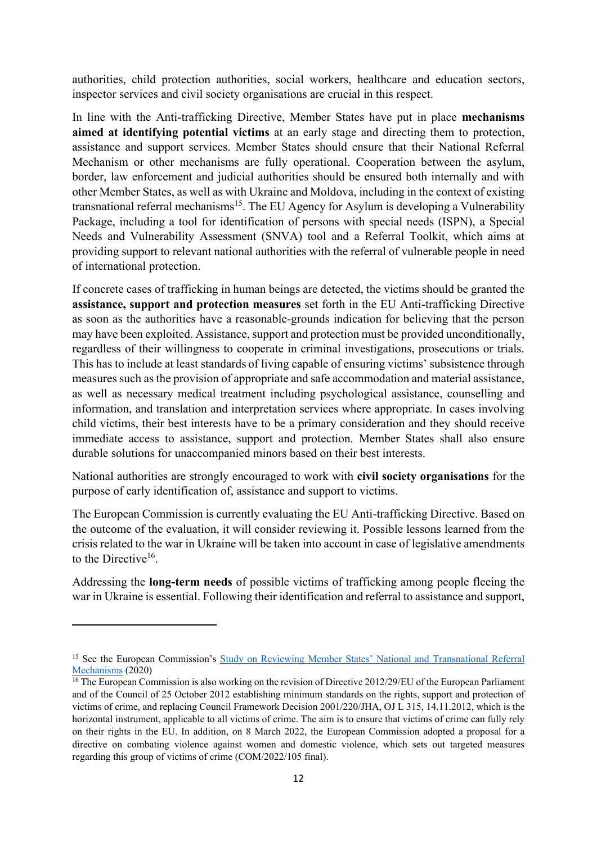authorities, child protection authorities, social workers, healthcare and education sectors, inspector services and civil society organisations are crucial in this respect.

In line with the Anti-trafficking Directive, Member States have put in place **mechanisms aimed at identifying potential victims** at an early stage and directing them to protection, assistance and support services. Member States should ensure that their National Referral Mechanism or other mechanisms are fully operational. Cooperation between the asylum, border, law enforcement and judicial authorities should be ensured both internally and with other Member States, as well as with Ukraine and Moldova, including in the context of existing transnational referral mechanisms<sup>15</sup>. The EU Agency for Asylum is developing a Vulnerability Package, including a tool for identification of persons with special needs (ISPN), a Special Needs and Vulnerability Assessment (SNVA) tool and a Referral Toolkit, which aims at providing support to relevant national authorities with the referral of vulnerable people in need of international protection.

If concrete cases of trafficking in human beings are detected, the victims should be granted the **assistance, support and protection measures** set forth in the EU Anti-trafficking Directive as soon as the authorities have a reasonable-grounds indication for believing that the person may have been exploited. Assistance, support and protection must be provided unconditionally, regardless of their willingness to cooperate in criminal investigations, prosecutions or trials. This has to include at least standards of living capable of ensuring victims' subsistence through measures such as the provision of appropriate and safe accommodation and material assistance, as well as necessary medical treatment including psychological assistance, counselling and information, and translation and interpretation services where appropriate. In cases involving child victims, their best interests have to be a primary consideration and they should receive immediate access to assistance, support and protection. Member States shall also ensure durable solutions for unaccompanied minors based on their best interests.

National authorities are strongly encouraged to work with **civil society organisations** for the purpose of early identification of, assistance and support to victims.

The European Commission is currently evaluating the EU Anti-trafficking Directive. Based on the outcome of the evaluation, it will consider reviewing it. Possible lessons learned from the crisis related to the war in Ukraine will be taken into account in case of legislative amendments to the Directive<sup>16</sup>.

Addressing the **long-term needs** of possible victims of trafficking among people fleeing the war in Ukraine is essential. Following their identification and referral to assistance and support,

<sup>&</sup>lt;sup>15</sup> See the European Commission's [Study on Reviewing Member States' National and Transnatio](https://op.europa.eu/en/publication-detail/-/publication/d5542e9c-0e92-11eb-bc07-01aa75ed71a1/language-en/format-PDF/source-256067480)nal Referral [Mechanisms](https://op.europa.eu/en/publication-detail/-/publication/d5542e9c-0e92-11eb-bc07-01aa75ed71a1/language-en/format-PDF/source-256067480) (2020)

 $16$  The European Commission is also working on the revision of Directive 2012/29/EU of the European Parliament and of the Council of 25 October 2012 establishing minimum standards on the rights, support and protection of victims of crime, and replacing Council Framework Decision 2001/220/JHA, OJ L 315, 14.11.2012, which is the horizontal instrument, applicable to all victims of crime. The aim is to ensure that victims of crime can fully rely on their rights in the EU. In addition, on 8 March 2022, the European Commission adopted a proposal for a directive on combating violence against women and domestic violence, which sets out targeted measures regarding this group of victims of crime (COM/2022/105 final).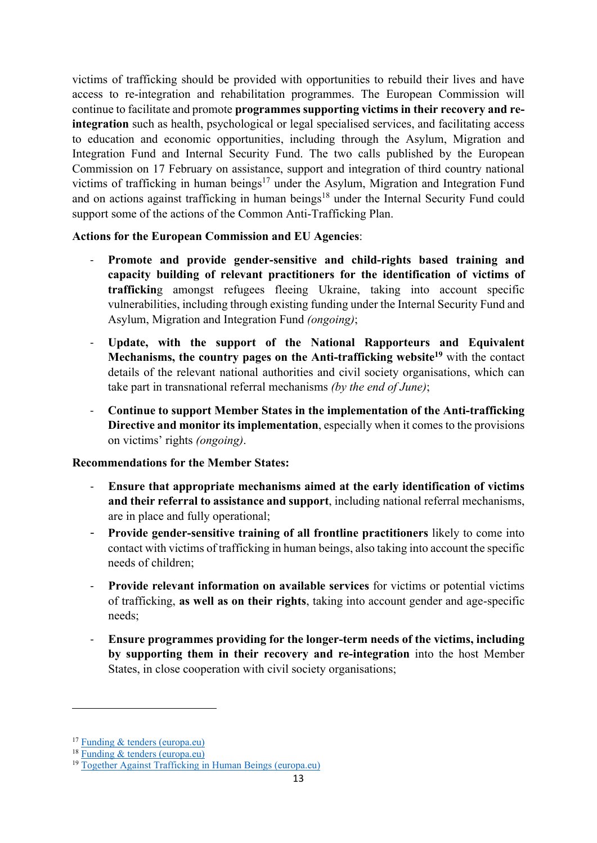victims of trafficking should be provided with opportunities to rebuild their lives and have access to re-integration and rehabilitation programmes. The European Commission will continue to facilitate and promote **programmes supporting victims in their recovery and reintegration** such as health, psychological or legal specialised services, and facilitating access to education and economic opportunities, including through the Asylum, Migration and Integration Fund and Internal Security Fund. The two calls published by the European Commission on 17 February on assistance, support and integration of third country national victims of trafficking in human beings<sup>17</sup> under the Asylum, Migration and Integration Fund and on actions against trafficking in human beings<sup>18</sup> under the Internal Security Fund could support some of the actions of the Common Anti-Trafficking Plan.

# **Actions for the European Commission and EU Agencies**:

- **Promote and provide gender-sensitive and child-rights based training and capacity building of relevant practitioners for the identification of victims of traffickin**g amongst refugees fleeing Ukraine, taking into account specific vulnerabilities, including through existing funding under the Internal Security Fund and Asylum, Migration and Integration Fund *(ongoing)*;
- **Update, with the support of the National Rapporteurs and Equivalent Mechanisms, the country pages on the Anti-trafficking website<sup>19</sup>** with the contact details of the relevant national authorities and civil society organisations, which can take part in transnational referral mechanisms *(by the end of June)*;
- **Continue to support Member States in the implementation of the Anti-trafficking Directive and monitor its implementation**, especially when it comes to the provisions on victims' rights *(ongoing)*.

# **Recommendations for the Member States:**

- **Ensure that appropriate mechanisms aimed at the early identification of victims and their referral to assistance and support**, including national referral mechanisms, are in place and fully operational;
- **Provide gender-sensitive training of all frontline practitioners** likely to come into contact with victims of trafficking in human beings, also taking into account the specific needs of children;
- **Provide relevant information on available services** for victims or potential victims of trafficking, **as well as on their rights**, taking into account gender and age-specific needs;
- **Ensure programmes providing for the longer-term needs of the victims, including by supporting them in their recovery and re-integration** into the host Member States, in close cooperation with civil society organisations;

<sup>17</sup> [Funding & tenders \(europa.eu\)](https://ec.europa.eu/info/funding-tenders/opportunities/portal/screen/opportunities/topic-details/amif-2022-ag-call-thb;callCode=null;freeTextSearchKeyword=THB;matchWholeText=true;typeCodes=0,1,2,8;statusCodes=31094501,31094502,31094503;programmePeriod=null;programCcm2Id=null;programDivisionCode=null;focusAreaCode=null;destination=null;mission=null;geographicalZonesCode=null;programmeDivisionProspect=null;startDateLte=null;startDateGte=null;crossCuttingPriorityCode=null;cpvCode=null;performanceOfDelivery=null;sortQuery=sortStatus;orderBy=asc;onlyTenders=false;topicListKey=topicSearchTablePageState)

<sup>18</sup> [Funding & tenders \(europa.eu\)](https://ec.europa.eu/info/funding-tenders/opportunities/portal/screen/opportunities/topic-details/isf-2022-tf1-ag-thb;callCode=null;freeTextSearchKeyword=THB;matchWholeText=true;typeCodes=1,0;statusCodes=31094501,31094502,31094503;programmePeriod=null;programCcm2Id=null;programDivisionCode=null;focusAreaCode=null;destination=null;mission=null;geographicalZonesCode=null;programmeDivisionProspect=null;startDateLte=null;startDateGte=null;crossCuttingPriorityCode=null;cpvCode=null;performanceOfDelivery=null;sortQuery=sortStatus;orderBy=asc;onlyTenders=false;topicListKey=topicSearchTablePageState)

<sup>19</sup> [Together Against Trafficking in Human Beings \(europa.eu\)](https://ec.europa.eu/home-affairs/policies/internal-security/organised-crime-and-human-trafficking/together-against-trafficking-human-beings_en)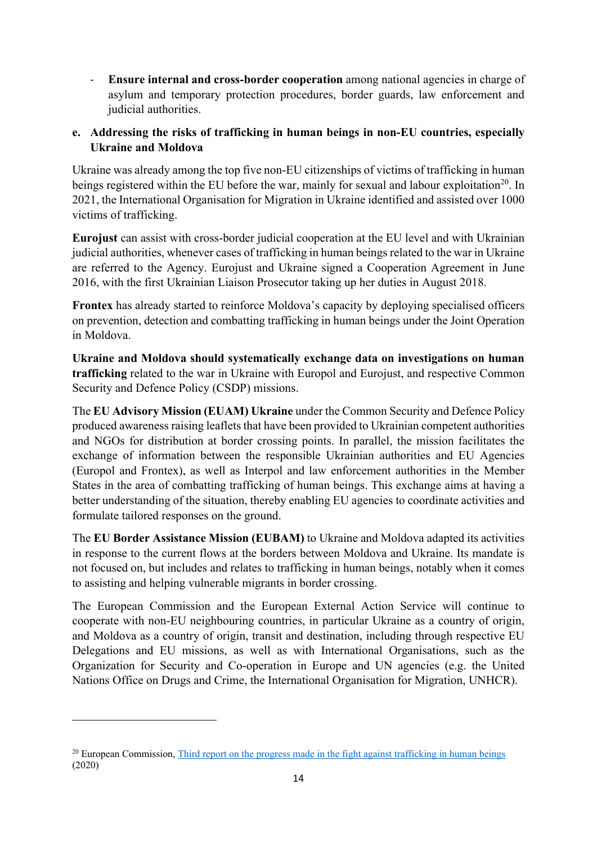- **Ensure internal and cross-border cooperation** among national agencies in charge of asylum and temporary protection procedures, border guards, law enforcement and judicial authorities.

# **e. Addressing the risks of trafficking in human beings in non-EU countries, especially Ukraine and Moldova**

Ukraine was already among the top five non-EU citizenships of victims of trafficking in human beings registered within the EU before the war, mainly for sexual and labour exploitation<sup>20</sup>. In 2021, the International Organisation for Migration in Ukraine identified and assisted over 1000 victims of trafficking.

**Eurojust** can assist with cross-border judicial cooperation at the EU level and with Ukrainian judicial authorities, whenever cases of trafficking in human beings related to the war in Ukraine are referred to the Agency. Eurojust and Ukraine signed a Cooperation Agreement in June 2016, with the first Ukrainian Liaison Prosecutor taking up her duties in August 2018.

**Frontex** has already started to reinforce Moldova's capacity by deploying specialised officers on prevention, detection and combatting trafficking in human beings under the Joint Operation in Moldova.

**Ukraine and Moldova should systematically exchange data on investigations on human trafficking** related to the war in Ukraine with Europol and Eurojust, and respective Common Security and Defence Policy (CSDP) missions.

The **EU Advisory Mission (EUAM) Ukraine** under the Common Security and Defence Policy produced awareness raising leaflets that have been provided to Ukrainian competent authorities and NGOs for distribution at border crossing points. In parallel, the mission facilitates the exchange of information between the responsible Ukrainian authorities and EU Agencies (Europol and Frontex), as well as Interpol and law enforcement authorities in the Member States in the area of combatting trafficking of human beings. This exchange aims at having a better understanding of the situation, thereby enabling EU agencies to coordinate activities and formulate tailored responses on the ground.

The **EU Border Assistance Mission (EUBAM)** to Ukraine and Moldova adapted its activities in response to the current flows at the borders between Moldova and Ukraine. Its mandate is not focused on, but includes and relates to trafficking in human beings, notably when it comes to assisting and helping vulnerable migrants in border crossing.

The European Commission and the European External Action Service will continue to cooperate with non-EU neighbouring countries, in particular Ukraine as a country of origin, and Moldova as a country of origin, transit and destination, including through respective EU Delegations and EU missions, as well as with International Organisations, such as the Organization for Security and Co-operation in Europe and UN agencies (e.g. the United Nations Office on Drugs and Crime, the International Organisation for Migration, UNHCR).

<sup>&</sup>lt;sup>20</sup> European Commission, [Third report on the progress made in the fight against trafficking in human beings](https://eur-lex.europa.eu/legal-content/EN/TXT/?uri=CELEX%3A52020DC0661&qid=1651138806414) (2020)